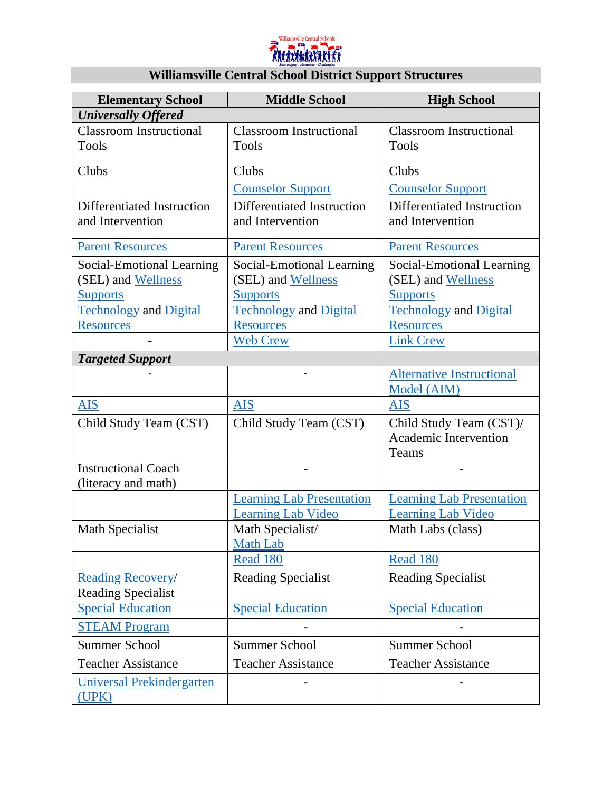

# **Williamsville Central School District Support Structures**

| <b>Elementary School</b>                  | <b>Middle School</b>                | <b>High School</b>                              |
|-------------------------------------------|-------------------------------------|-------------------------------------------------|
| <b>Universally Offered</b>                |                                     |                                                 |
| <b>Classroom Instructional</b>            | <b>Classroom Instructional</b>      | <b>Classroom Instructional</b>                  |
| <b>Tools</b>                              | <b>Tools</b>                        | <b>Tools</b>                                    |
| Clubs                                     | Clubs                               | Clubs                                           |
|                                           | <b>Counselor Support</b>            | <b>Counselor Support</b>                        |
| Differentiated Instruction                | Differentiated Instruction          | <b>Differentiated Instruction</b>               |
| and Intervention                          | and Intervention                    | and Intervention                                |
| <b>Parent Resources</b>                   | <b>Parent Resources</b>             | <b>Parent Resources</b>                         |
| Social-Emotional Learning                 | Social-Emotional Learning           | Social-Emotional Learning                       |
| (SEL) and Wellness                        | (SEL) and Wellness                  | (SEL) and Wellness                              |
| <b>Supports</b>                           | <b>Supports</b>                     | <b>Supports</b>                                 |
| <b>Technology and Digital</b>             | <b>Technology and Digital</b>       | <b>Technology and Digital</b>                   |
| <b>Resources</b>                          | <b>Resources</b>                    | <b>Resources</b>                                |
|                                           | Web Crew                            | <b>Link Crew</b>                                |
| <b>Targeted Support</b>                   |                                     |                                                 |
|                                           |                                     | <b>Alternative Instructional</b><br>Model (AIM) |
| <b>AIS</b>                                | <b>AIS</b>                          | <b>AIS</b>                                      |
| Child Study Team (CST)                    | Child Study Team (CST)              | Child Study Team (CST)/                         |
|                                           |                                     | <b>Academic Intervention</b>                    |
|                                           |                                     | Teams                                           |
| <b>Instructional Coach</b>                |                                     |                                                 |
| (literacy and math)                       |                                     |                                                 |
|                                           | <b>Learning Lab Presentation</b>    | <b>Learning Lab Presentation</b>                |
|                                           | <b>Learning Lab Video</b>           | <b>Learning Lab Video</b>                       |
| <b>Math Specialist</b>                    | Math Specialist/<br><b>Math Lab</b> | Math Labs (class)                               |
|                                           | <b>Read 180</b>                     | Read 180                                        |
| <b>Reading Recovery/</b>                  | <b>Reading Specialist</b>           | <b>Reading Specialist</b>                       |
| <b>Reading Specialist</b>                 |                                     |                                                 |
| <b>Special Education</b>                  | <b>Special Education</b>            | <b>Special Education</b>                        |
| <b>STEAM Program</b>                      |                                     |                                                 |
| <b>Summer School</b>                      | <b>Summer School</b>                | <b>Summer School</b>                            |
| <b>Teacher Assistance</b>                 | <b>Teacher Assistance</b>           | <b>Teacher Assistance</b>                       |
| <b>Universal Prekindergarten</b><br>(UPK) |                                     |                                                 |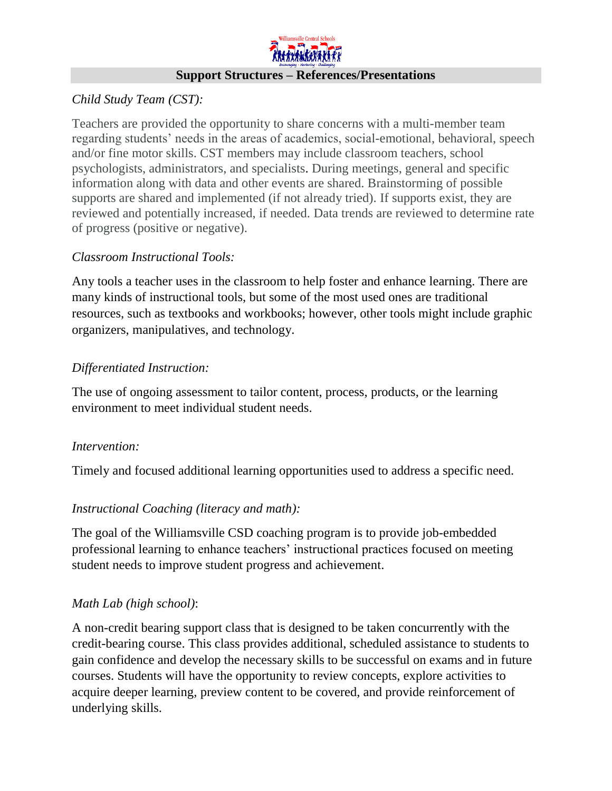

#### *Child Study Team (CST):*

Teachers are provided the opportunity to share concerns with a multi-member team regarding students' needs in the areas of academics, social-emotional, behavioral, speech and/or fine motor skills. CST members may include classroom teachers, school psychologists, administrators, and specialists. During meetings, general and specific information along with data and other events are shared. Brainstorming of possible supports are shared and implemented (if not already tried). If supports exist, they are reviewed and potentially increased, if needed. Data trends are reviewed to determine rate of progress (positive or negative).

## *Classroom Instructional Tools:*

Any tools a teacher uses in the classroom to help foster and enhance learning. There are many kinds of instructional tools, but some of the most used ones are traditional resources, such as textbooks and workbooks; however, other tools might include graphic organizers, manipulatives, and technology.

## *Differentiated Instruction:*

The use of ongoing assessment to tailor content, process, products, or the learning environment to meet individual student needs.

#### *Intervention:*

Timely and focused additional learning opportunities used to address a specific need.

# *Instructional Coaching (literacy and math):*

The goal of the Williamsville CSD coaching program is to provide job-embedded professional learning to enhance teachers' instructional practices focused on meeting student needs to improve student progress and achievement.

# *Math Lab (high school)*:

A non-credit bearing support class that is designed to be taken concurrently with the credit-bearing course. This class provides additional, scheduled assistance to students to gain confidence and develop the necessary skills to be successful on exams and in future courses. Students will have the opportunity to review concepts, explore activities to acquire deeper learning, preview content to be covered, and provide reinforcement of underlying skills.